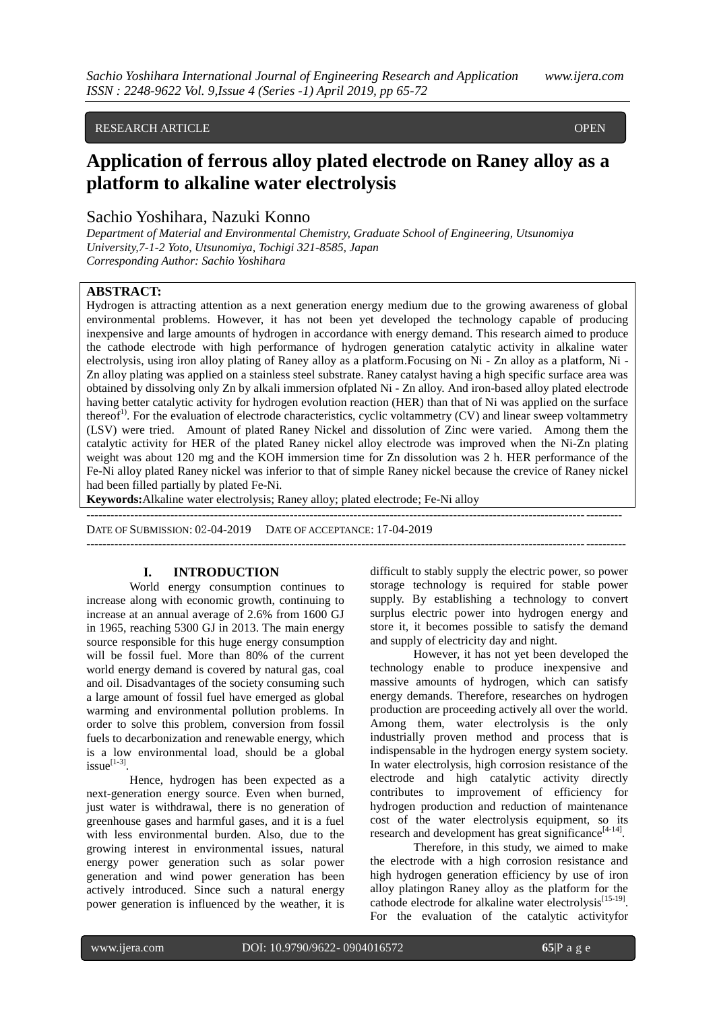## RESEARCH ARTICLE **CONTRACTE**

# Application of ferrous alloy plated electrode on Raney alloy as a **platform to alkaline water electrolysis**

## Sachio Yoshihara, Nazuki Konno

*Department of Material and Environmental Chemistry, Graduate School of Engineering, Utsunomiya University,7-1-2 Yoto, Utsunomiya, Tochigi 321-8585, Japan Corresponding Author: Sachio Yoshihara*

## **ABSTRACT:**

Hydrogen is attracting attention as a next generation energy medium due to the growing awareness of global environmental problems. However, it has not been yet developed the technology capable of producing inexpensive and large amounts of hydrogen in accordance with energy demand. This research aimed to produce the cathode electrode with high performance of hydrogen generation catalytic activity in alkaline water electrolysis, using iron alloy plating of Raney alloy as a platform.Focusing on Ni - Zn alloy as a platform, Ni - Zn alloy plating was applied on a stainless steel substrate. Raney catalyst having a high specific surface area was obtained by dissolving only Zn by alkali immersion ofplated Ni - Zn alloy. And iron-based alloy plated electrode having better catalytic activity for hydrogen evolution reaction (HER) than that of Ni was applied on the surface thereof<sup>1)</sup>. For the evaluation of electrode characteristics, cyclic voltammetry (CV) and linear sweep voltammetry (LSV) were tried. Amount of plated Raney Nickel and dissolution of Zinc were varied. Among them the catalytic activity for HER of the plated Raney nickel alloy electrode was improved when the Ni-Zn plating weight was about 120 mg and the KOH immersion time for Zn dissolution was 2 h. HER performance of the Fe-Ni alloy plated Raney nickel was inferior to that of simple Raney nickel because the crevice of Raney nickel had been filled partially by plated Fe-Ni.

--------------------------------------------------------------------------------------------------------------------------------------

**Keywords:**Alkaline water electrolysis; Raney alloy; plated electrode; Fe-Ni alloy

DATE OF SUBMISSION: 02-04-2019 DATE OF ACCEPTANCE: 17-04-2019

## **I. INTRODUCTION**

World energy consumption continues to increase along with economic growth, continuing to increase at an annual average of 2.6% from 1600 GJ in 1965, reaching 5300 GJ in 2013. The main energy source responsible for this huge energy consumption will be fossil fuel. More than 80% of the current world energy demand is covered by natural gas, coal and oil. Disadvantages of the society consuming such a large amount of fossil fuel have emerged as global warming and environmental pollution problems. In order to solve this problem, conversion from fossil fuels to decarbonization and renewable energy, which is a low environmental load, should be a global  $is sue^{[1-3]}$ .

Hence, hydrogen has been expected as a next-generation energy source. Even when burned, just water is withdrawal, there is no generation of greenhouse gases and harmful gases, and it is a fuel with less environmental burden. Also, due to the growing interest in environmental issues, natural energy power generation such as solar power generation and wind power generation has been actively introduced. Since such a natural energy power generation is influenced by the weather, it is

difficult to stably supply the electric power, so power storage technology is required for stable power supply. By establishing a technology to convert surplus electric power into hydrogen energy and store it, it becomes possible to satisfy the demand and supply of electricity day and night.

---------------------------------------------------------------------------------------------------------------------------------------

However, it has not yet been developed the technology enable to produce inexpensive and massive amounts of hydrogen, which can satisfy energy demands. Therefore, researches on hydrogen production are proceeding actively all over the world. Among them, water electrolysis is the only industrially proven method and process that is indispensable in the hydrogen energy system society. In water electrolysis, high corrosion resistance of the electrode and high catalytic activity directly contributes to improvement of efficiency for hydrogen production and reduction of maintenance cost of the water electrolysis equipment, so its research and development has great significance<sup>[4-14]</sup>.

Therefore, in this study, we aimed to make the electrode with a high corrosion resistance and high hydrogen generation efficiency by use of iron alloy platingon Raney alloy as the platform for the cathode electrode for alkaline water electrolysis<sup>[15-19]</sup>. For the evaluation of the catalytic activityfor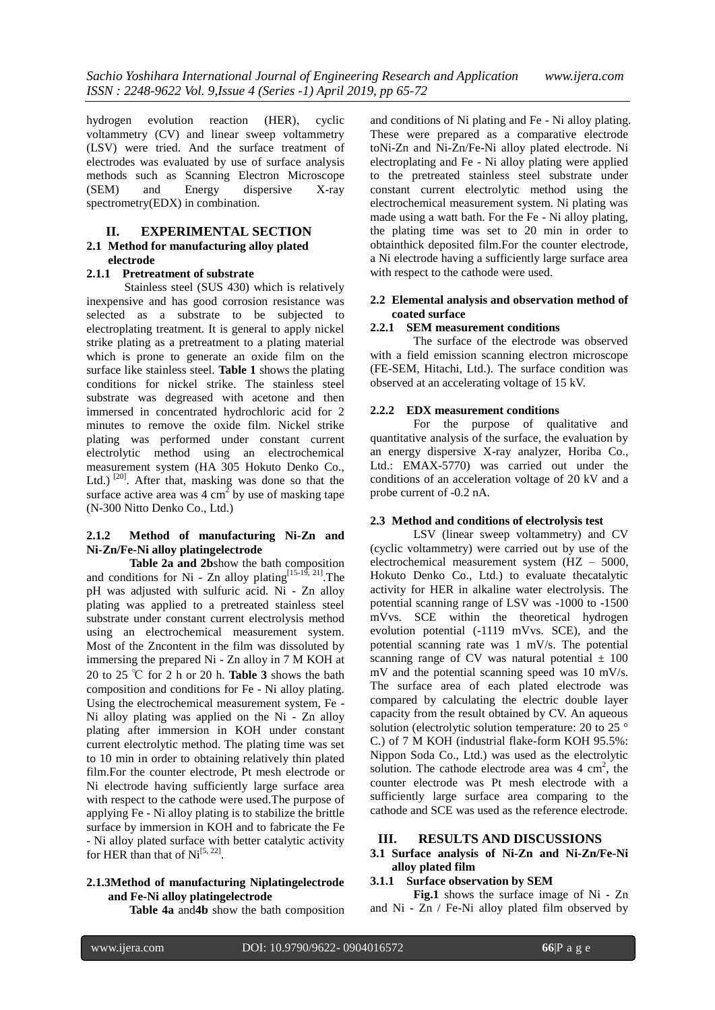hydrogen evolution reaction (HER), cyclic voltammetry (CV) and linear sweep voltammetry (LSV) were tried. And the surface treatment of electrodes was evaluated by use of surface analysis methods such as Scanning Electron Microscope (SEM) and Energy dispersive X-ray spectrometry(EDX) in combination.

#### **II. EXPERIMENTAL SECTION 2.1 Method for manufacturing alloy plated electrode**

#### **2.1.1 Pretreatment of substrate**

Stainless steel (SUS 430) which is relatively inexpensive and has good corrosion resistance was selected as a substrate to be subjected to electroplating treatment. It is general to apply nickel strike plating as a pretreatment to a plating material which is prone to generate an oxide film on the surface like stainless steel. **Table 1** shows the plating conditions for nickel strike. The stainless steel substrate was degreased with acetone and then immersed in concentrated hydrochloric acid for 2 minutes to remove the oxide film. Nickel strike plating was performed under constant current electrolytic method using an electrochemical measurement system (HA 305 Hokuto Denko Co., Ltd.)<sup>[20]</sup>. After that, masking was done so that the surface active area was  $4 \text{ cm}^2$  by use of masking tape (N-300 Nitto Denko Co., Ltd.)

## **2.1.2 Method of manufacturing Ni-Zn and Ni-Zn/Fe-Ni alloy platingelectrode**

**Table 2a and 2b**show the bath composition and conditions for Ni - Zn alloy plating<sup>[15-19, 21]</sup>. The pH was adjusted with sulfuric acid. Ni - Zn alloy plating was applied to a pretreated stainless steel substrate under constant current electrolysis method using an electrochemical measurement system. Most of the Zncontent in the film was dissoluted by immersing the prepared Ni - Zn alloy in 7 M KOH at 20 to 25 ℃ for 2 h or 20 h. **Table 3** shows the bath composition and conditions for Fe - Ni alloy plating. Using the electrochemical measurement system, Fe - Ni alloy plating was applied on the Ni - Zn alloy plating after immersion in KOH under constant current electrolytic method. The plating time was set to 10 min in order to obtaining relatively thin plated film.For the counter electrode, Pt mesh electrode or Ni electrode having sufficiently large surface area with respect to the cathode were used.The purpose of applying Fe - Ni alloy plating is to stabilize the brittle surface by immersion in KOH and to fabricate the Fe - Ni alloy plated surface with better catalytic activity for HER than that of  $Ni^{[5, 22]}$ .

#### **2.1.3Method of manufacturing Niplatingelectrode and Fe-Ni alloy platingelectrode**

**Table 4a** and**4b** show the bath composition

and conditions of Ni plating and Fe - Ni alloy plating. These were prepared as a comparative electrode toNi-Zn and Ni-Zn/Fe-Ni alloy plated electrode. Ni electroplating and Fe - Ni alloy plating were applied to the pretreated stainless steel substrate under constant current electrolytic method using the electrochemical measurement system. Ni plating was made using a watt bath. For the Fe - Ni alloy plating, the plating time was set to 20 min in order to obtainthick deposited film.For the counter electrode, a Ni electrode having a sufficiently large surface area with respect to the cathode were used.

## **2.2 Elemental analysis and observation method of coated surface**

## **2.2.1 SEM measurement conditions**

The surface of the electrode was observed with a field emission scanning electron microscope (FE-SEM, Hitachi, Ltd.). The surface condition was observed at an accelerating voltage of 15 kV.

#### **2.2.2 EDX measurement conditions**

For the purpose of qualitative and quantitative analysis of the surface, the evaluation by an energy dispersive X-ray analyzer, Horiba Co., Ltd.: EMAX-5770) was carried out under the conditions of an acceleration voltage of 20 kV and a probe current of -0.2 nA.

#### **2.3 Method and conditions of electrolysis test**

LSV (linear sweep voltammetry) and CV (cyclic voltammetry) were carried out by use of the electrochemical measurement system (HZ – 5000, Hokuto Denko Co., Ltd.) to evaluate thecatalytic activity for HER in alkaline water electrolysis. The potential scanning range of LSV was -1000 to -1500 mVvs. SCE within the theoretical hydrogen evolution potential (-1119 mVvs. SCE), and the potential scanning rate was 1 mV/s. The potential scanning range of CV was natural potential  $\pm$  100 mV and the potential scanning speed was 10 mV/s. The surface area of each plated electrode was compared by calculating the electric double layer capacity from the result obtained by CV. An aqueous solution (electrolytic solution temperature: 20 to 25 ° C.) of 7 M KOH (industrial flake-form KOH 95.5%: Nippon Soda Co., Ltd.) was used as the electrolytic solution. The cathode electrode area was  $4 \text{ cm}^2$ , the counter electrode was Pt mesh electrode with a sufficiently large surface area comparing to the cathode and SCE was used as the reference electrode.

#### **III. RESULTS AND DISCUSSIONS**

#### **3.1 Surface analysis of Ni-Zn and Ni-Zn/Fe-Ni alloy plated film**

#### **3.1.1 Surface observation by SEM**

**Fig.1** shows the surface image of Ni - Zn and Ni - Zn / Fe-Ni alloy plated film observed by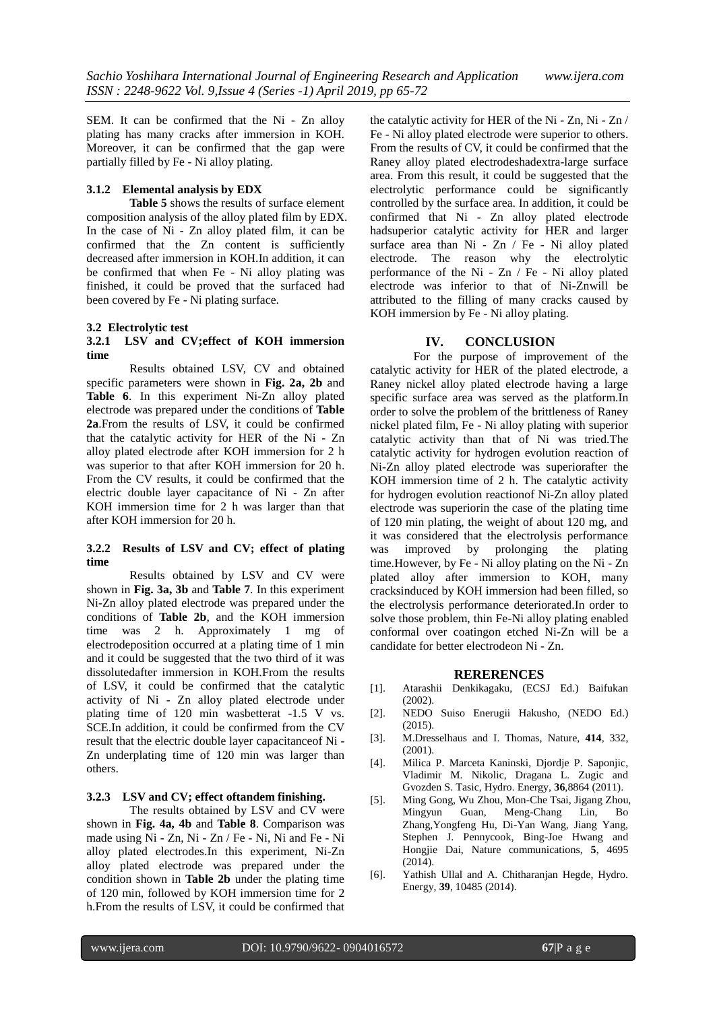SEM. It can be confirmed that the Ni - Zn alloy plating has many cracks after immersion in KOH. Moreover, it can be confirmed that the gap were partially filled by Fe - Ni alloy plating.

## **3.1.2 Elemental analysis by EDX**

**Table 5** shows the results of surface element composition analysis of the alloy plated film by EDX. In the case of Ni - Zn alloy plated film, it can be confirmed that the Zn content is sufficiently decreased after immersion in KOH.In addition, it can be confirmed that when Fe - Ni alloy plating was finished, it could be proved that the surfaced had been covered by Fe - Ni plating surface.

#### **3.2 Electrolytic test**

#### **3.2.1 LSV and CV;effect of KOH immersion time**

Results obtained LSV, CV and obtained specific parameters were shown in **Fig. 2a, 2b** and **Table 6**. In this experiment Ni-Zn alloy plated electrode was prepared under the conditions of **Table 2a**.From the results of LSV, it could be confirmed that the catalytic activity for HER of the Ni - Zn alloy plated electrode after KOH immersion for 2 h was superior to that after KOH immersion for 20 h. From the CV results, it could be confirmed that the electric double layer capacitance of Ni - Zn after KOH immersion time for 2 h was larger than that after KOH immersion for 20 h.

#### **3.2.2 Results of LSV and CV; effect of plating time**

Results obtained by LSV and CV were shown in **Fig. 3a, 3b** and **Table 7**. In this experiment Ni-Zn alloy plated electrode was prepared under the conditions of **Table 2b**, and the KOH immersion time was 2 h. Approximately 1 mg of electrodeposition occurred at a plating time of 1 min and it could be suggested that the two third of it was dissolutedafter immersion in KOH.From the results of LSV, it could be confirmed that the catalytic activity of Ni - Zn alloy plated electrode under plating time of 120 min wasbetterat -1.5 V vs. SCE.In addition, it could be confirmed from the CV result that the electric double layer capacitanceof Ni - Zn underplating time of 120 min was larger than others.

## **3.2.3 LSV and CV; effect oftandem finishing.**

The results obtained by LSV and CV were shown in **Fig. 4a, 4b** and **Table 8**. Comparison was made using Ni - Zn, Ni - Zn / Fe - Ni, Ni and Fe - Ni alloy plated electrodes.In this experiment, Ni-Zn alloy plated electrode was prepared under the condition shown in **Table 2b** under the plating time of 120 min, followed by KOH immersion time for 2 h.From the results of LSV, it could be confirmed that

the catalytic activity for HER of the Ni - Zn, Ni - Zn / Fe - Ni alloy plated electrode were superior to others. From the results of CV, it could be confirmed that the Raney alloy plated electrodeshadextra-large surface area. From this result, it could be suggested that the electrolytic performance could be significantly controlled by the surface area. In addition, it could be confirmed that Ni - Zn alloy plated electrode hadsuperior catalytic activity for HER and larger surface area than Ni - Zn / Fe - Ni alloy plated electrode. The reason why the electrolytic performance of the Ni - Zn / Fe - Ni alloy plated electrode was inferior to that of Ni-Znwill be attributed to the filling of many cracks caused by KOH immersion by Fe - Ni alloy plating.

## **IV. CONCLUSION**

For the purpose of improvement of the catalytic activity for HER of the plated electrode, a Raney nickel alloy plated electrode having a large specific surface area was served as the platform.In order to solve the problem of the brittleness of Raney nickel plated film, Fe - Ni alloy plating with superior catalytic activity than that of Ni was tried.The catalytic activity for hydrogen evolution reaction of Ni-Zn alloy plated electrode was superiorafter the KOH immersion time of 2 h. The catalytic activity for hydrogen evolution reactionof Ni-Zn alloy plated electrode was superiorin the case of the plating time of 120 min plating, the weight of about 120 mg, and it was considered that the electrolysis performance was improved by prolonging the plating time.However, by Fe - Ni alloy plating on the Ni - Zn plated alloy after immersion to KOH, many cracksinduced by KOH immersion had been filled, so the electrolysis performance deteriorated.In order to solve those problem, thin Fe-Ni alloy plating enabled conformal over coatingon etched Ni-Zn will be a candidate for better electrodeon Ni - Zn.

#### **RERERENCES**

- [1]. Atarashii Denkikagaku, (ECSJ Ed.) Baifukan (2002).
- [2]. NEDO Suiso Enerugii Hakusho, (NEDO Ed.) (2015).
- [3]. M.Dresselhaus and I. Thomas, Nature, **414**, 332, (2001).
- [4]. Milica P. Marceta Kaninski, Djordje P. Saponjic, Vladimir M. Nikolic, Dragana L. Zugic and Gvozden S. Tasic, Hydro. Energy, **36**,8864 (2011).
- [5]. Ming Gong, Wu Zhou, Mon-Che Tsai, Jigang Zhou, Mingyun Guan, Meng-Chang Lin, Bo Zhang,Yongfeng Hu, Di-Yan Wang, Jiang Yang, Stephen J. Pennycook, Bing-Joe Hwang and Hongjie Dai, Nature communications, **5**, 4695 (2014).
- [6]. Yathish Ullal and A. Chitharanian Hegde, Hydro. Energy, **39**, 10485 (2014).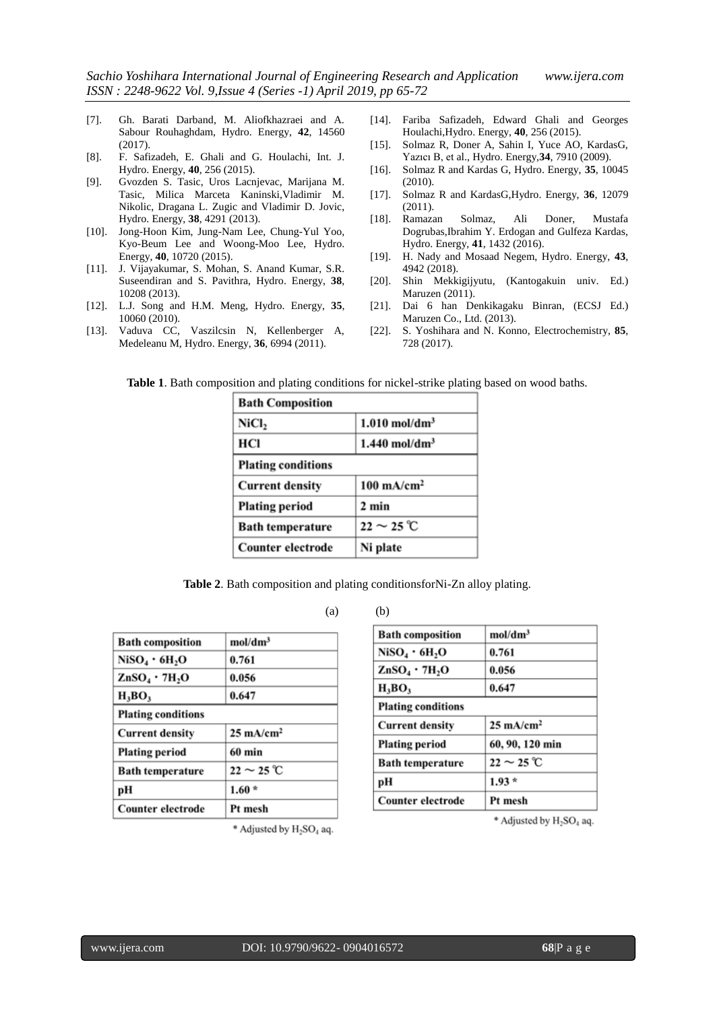- [7]. Gh. Barati Darband, M. Aliofkhazraei and A. Sabour Rouhaghdam, Hydro. Energy, **42**, 14560 (2017).
- [8]. F. Safizadeh, E. Ghali and G. Houlachi, Int. J. Hydro. Energy, **40**, 256 (2015).
- [9]. Gvozden S. Tasic, Uros Lacnjevac, Marijana M. Tasic, Milica Marceta Kaninski,Vladimir M. Nikolic, Dragana L. Zugic and Vladimir D. Jovic, Hydro. Energy, **38**, 4291 (2013).
- [10]. Jong-Hoon Kim, Jung-Nam Lee, Chung-Yul Yoo, Kyo-Beum Lee and Woong-Moo Lee, Hydro. Energy, **40**, 10720 (2015).
- [11]. J. Vijayakumar, S. Mohan, S. Anand Kumar, S.R. Suseendiran and S. Pavithra, Hydro. Energy, **38**, 10208 (2013).
- [12]. L.J. Song and H.M. Meng, Hydro. Energy, **35**, 10060 (2010).
- [13]. Vaduva CC, Vaszilcsin N, Kellenberger A, Medeleanu M, Hydro. Energy, **36**, 6994 (2011).
- [14]. Fariba Safizadeh, Edward Ghali and Georges Houlachi,Hydro. Energy, **40**, 256 (2015).
- [15]. Solmaz R, Doner A, Sahin I, Yuce AO, KardasG, Yazıcı B, et al., Hydro. Energy,**34**, 7910 (2009).
- [16]. Solmaz R and Kardas G, Hydro. Energy, **35**, 10045 (2010).
- [17]. Solmaz R and KardasG,Hydro. Energy, **36**, 12079 (2011).
- [18]. Ramazan Solmaz, Ali Doner, Mustafa Dogrubas,Ibrahim Y. Erdogan and Gulfeza Kardas, Hydro. Energy, **41**, 1432 (2016).
- [19]. H. Nady and Mosaad Negem, Hydro. Energy, **43**, 4942 (2018).
- [20]. Shin Mekkigijyutu, (Kantogakuin univ. Ed.) Maruzen (2011).
- [21]. Dai 6 han Denkikagaku Binran, (ECSJ Ed.) Maruzen Co., Ltd. (2013).
- [22]. S. Yoshihara and N. Konno, Electrochemistry, **85**, 728 (2017).

**Table 1**. Bath composition and plating conditions for nickel-strike plating based on wood baths.

| <b>Bath Composition</b>   |                                       |  |  |
|---------------------------|---------------------------------------|--|--|
| NiCl2                     | $1.010$ mol/dm <sup>3</sup>           |  |  |
| НCІ                       | $1.440$ mol/dm <sup>3</sup>           |  |  |
| <b>Plating conditions</b> |                                       |  |  |
| <b>Current density</b>    | $100 \text{ mA/cm}^2$                 |  |  |
| <b>Plating period</b>     | 2 min                                 |  |  |
| <b>Bath temperature</b>   | $22 \sim 25 \text{ }^{\circ}\text{C}$ |  |  |
| Counter electrode         | Ni plate                              |  |  |

**Table 2**. Bath composition and plating conditionsforNi-Zn alloy plating.

| <b>Bath composition</b>               | mol/dm <sup>3</sup>       |
|---------------------------------------|---------------------------|
| NiSO <sub>4</sub> • 6H <sub>2</sub> O | 0.761                     |
| $ZnSO_4$ · 7H <sub>2</sub> O          | 0.056                     |
| $H_3BO_3$                             | 0.647                     |
| <b>Plating conditions</b>             |                           |
| <b>Current density</b>                | $25 \text{ mA/cm}^2$      |
| <b>Plating period</b>                 | 60 min                    |
| <b>Bath temperature</b>               | $22 \sim 25 \, \text{°C}$ |
| рH                                    | $1.60*$                   |
| Counter electrode                     | Pt mesh                   |

 $(a)$   $(b)$ 

| <b>Bath composition</b>                           | mol/dm <sup>3</sup>                   |
|---------------------------------------------------|---------------------------------------|
| $\mathrm{NiSO}_{4}\cdot6\mathrm{H}_{2}\mathrm{O}$ | 0.761                                 |
| $ZnSO_4 \cdot 7H_2O$                              | 0.056                                 |
| $H_3BO_3$                                         | 0.647                                 |
| <b>Plating conditions</b>                         |                                       |
| <b>Current density</b>                            | $25 \text{ mA/cm}^2$                  |
| <b>Plating period</b>                             | 60, 90, 120 min                       |
| <b>Bath temperature</b>                           | $22 \sim 25 \text{ }^{\circ}\text{C}$ |
| pН                                                | $1.93*$                               |
| <b>Counter electrode</b>                          | Pt mesh                               |

\* Adjusted by H<sub>2</sub>SO<sub>4</sub> aq.

\* Adjusted by H<sub>2</sub>SO<sub>4</sub> aq.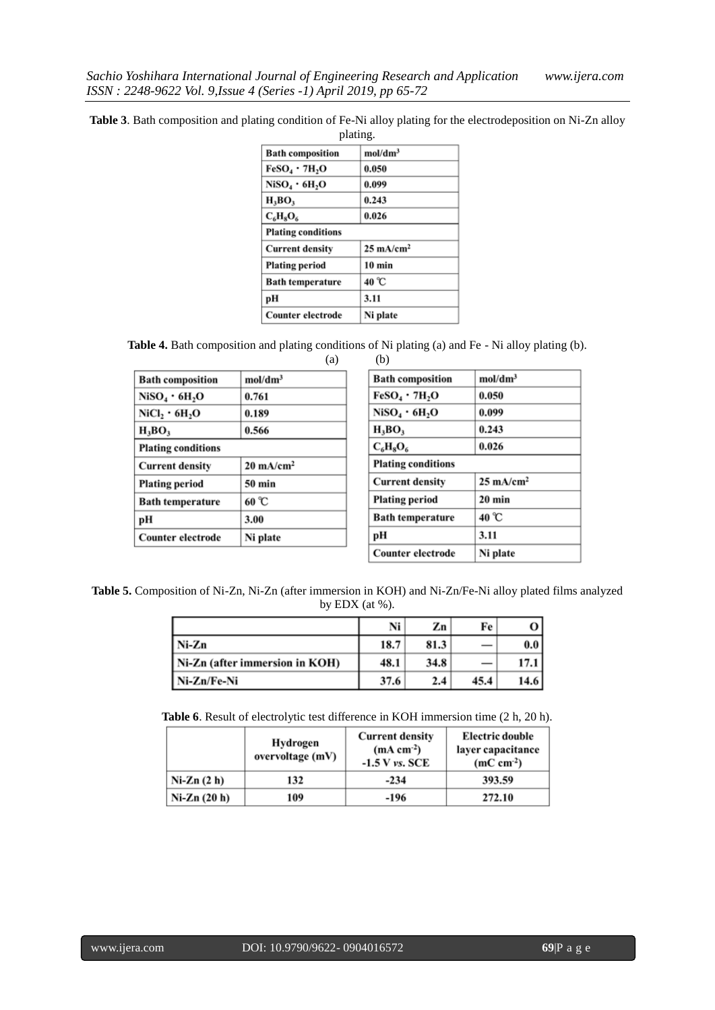**Table 3**. Bath composition and plating condition of Fe-Ni alloy plating for the electrodeposition on Ni-Zn alloy

| plating.                  |                      |  |  |  |
|---------------------------|----------------------|--|--|--|
| <b>Bath composition</b>   | mol/dm <sup>3</sup>  |  |  |  |
| $FeSO_4 \cdot 7H_2O$      | 0.050                |  |  |  |
| NiSO4 · 6H2O              | 0.099                |  |  |  |
| $H_3BO_3$                 | 0.243                |  |  |  |
| $C_6H_8O_6$               | 0.026                |  |  |  |
| <b>Plating conditions</b> |                      |  |  |  |
| <b>Current density</b>    | $25 \text{ mA/cm}^2$ |  |  |  |
| <b>Plating period</b>     | $10 \text{ min}$     |  |  |  |
| <b>Bath temperature</b>   | 40 °C                |  |  |  |
| рH                        | 3.11                 |  |  |  |
| <b>Counter electrode</b>  | Ni plate             |  |  |  |

**Table 4.** Bath composition and plating conditions of Ni plating (a) and Fe - Ni alloy plating (b). (a) (b)

| <b>Bath composition</b>                             | mol/dm <sup>3</sup>  |  |  |  |
|-----------------------------------------------------|----------------------|--|--|--|
| $Niso_4 \cdot 6H_2O$                                | 0.761                |  |  |  |
| $\mathrm{NiCl}_{2} \cdot 6\mathrm{H}_{2}\mathrm{O}$ | 0.189                |  |  |  |
| $H_3BO_3$                                           | 0.566                |  |  |  |
| <b>Plating conditions</b>                           |                      |  |  |  |
| <b>Current density</b>                              | $20 \text{ mA/cm}^2$ |  |  |  |
| <b>Plating period</b>                               | $50 \text{ min}$     |  |  |  |
| <b>Bath temperature</b>                             | 60 °C                |  |  |  |
| рH                                                  | 3.00                 |  |  |  |
| Counter electrode                                   | Ni plate             |  |  |  |

| <b>Bath composition</b>   | mol/dm <sup>3</sup>  |  |  |
|---------------------------|----------------------|--|--|
| $FeSO_4 \cdot 7H_2O$      | 0.050                |  |  |
| $Niso_4 \cdot 6H_2O$      | 0.099                |  |  |
| $H_3BO_3$                 | 0.243                |  |  |
| 0.026<br>$C_6H_8O_6$      |                      |  |  |
| <b>Plating conditions</b> |                      |  |  |
| <b>Current density</b>    | $25 \text{ mA/cm}^2$ |  |  |
| <b>Plating period</b>     | $20$ min             |  |  |
| <b>Bath temperature</b>   | 40 °C                |  |  |
| рH                        | 3.11                 |  |  |
| <b>Counter electrode</b>  | Ni plate             |  |  |

**Table 5.** Composition of Ni-Zn, Ni-Zn (after immersion in KOH) and Ni-Zn/Fe-Ni alloy plated films analyzed by EDX (at %).

|                                | Ni   | Zn   | Fe   | о                |
|--------------------------------|------|------|------|------------------|
| Ni-Zn                          | 18.7 | 81.3 |      | 0.0 <sub>1</sub> |
| Ni-Zn (after immersion in KOH) | 48.1 | 34.8 |      | 17.1             |
| Ni-Zn/Fe-Ni                    | 37.6 | 2.4  | 45.4 | 14.6             |

**Table 6**. Result of electrolytic test difference in KOH immersion time (2 h, 20 h).

|               | Hydrogen<br>overvoltage (mV) | <b>Current density</b><br>$(mA cm-2)$<br>$-1.5$ V vs. SCE | <b>Electric double</b><br>layer capacitance<br>$(mC cm-2)$ |
|---------------|------------------------------|-----------------------------------------------------------|------------------------------------------------------------|
| $Ni-Zn(2 h)$  | 132                          | $-234$                                                    | 393.59                                                     |
| $Ni-Zn(20 h)$ | 109                          | -196                                                      | 272.10                                                     |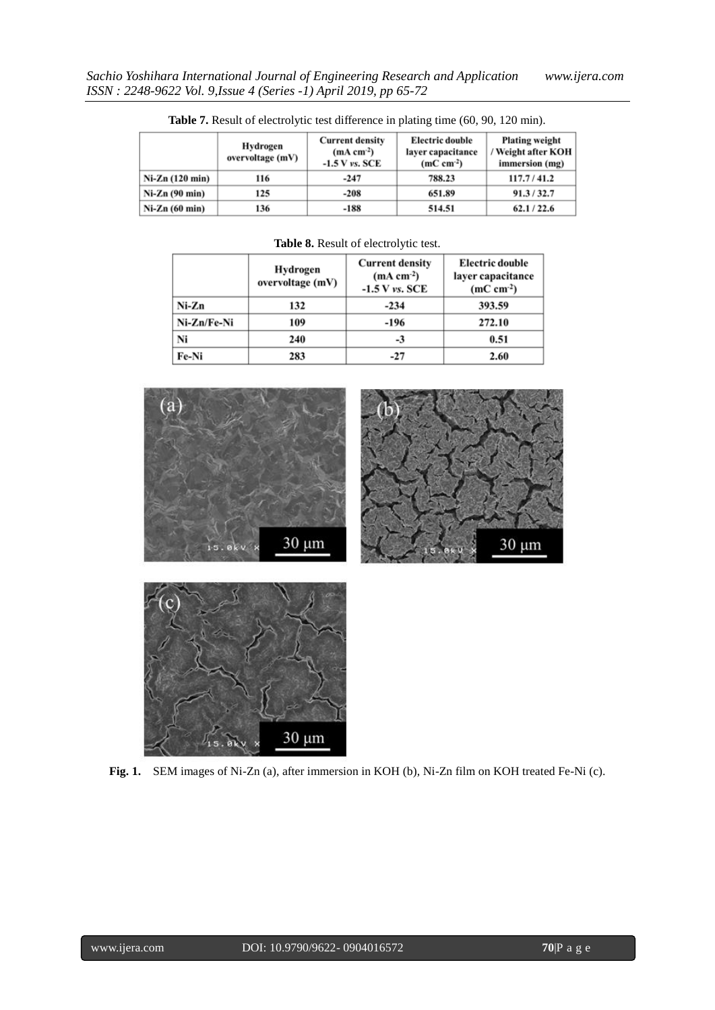|                 | Hydrogen<br>overvoltage (mV) | <b>Current density</b><br>$(mA cm-2)$<br>$-1.5$ V vs. SCE | <b>Electric double</b><br>layer capacitance<br>$(mC cm-2)$ | <b>Plating weight</b><br>/ Weight after KOH<br>immersion (mg) |
|-----------------|------------------------------|-----------------------------------------------------------|------------------------------------------------------------|---------------------------------------------------------------|
| Ni-Zn (120 min) | 116                          | $-247$                                                    | 788.23                                                     | 117.7/41.2                                                    |
| $Ni-Zn(90 min)$ | 125                          | $-208$                                                    | 651.89                                                     | 91.3 / 32.7                                                   |
| $Ni-Zn(60 min)$ | 136                          | $-188$                                                    | 514.51                                                     | 62.1 / 22.6                                                   |

Table 7. Result of electrolytic test difference in plating time (60, 90, 120 min).

| <b>Table 8.</b> Result of electrolytic test. |     |                                                           |                                                            |  |
|----------------------------------------------|-----|-----------------------------------------------------------|------------------------------------------------------------|--|
| Hydrogen<br>overvoltage (mV)                 |     | <b>Current density</b><br>$(mA cm-2)$<br>$-1.5$ V vs. SCE | <b>Electric double</b><br>layer capacitance<br>$(mC cm-2)$ |  |
| Ni-Zn                                        | 132 | $-234$                                                    | 393.59                                                     |  |
| Ni-Zn/Fe-Ni                                  | 109 | $-196$                                                    | 272.10                                                     |  |
| Ni                                           | 240 | -3                                                        | 0.51                                                       |  |
| Fe-Ni                                        | 283 | $-27$                                                     | 2.60                                                       |  |





**Fig. 1.** SEM images of Ni-Zn (a), after immersion in KOH (b), Ni-Zn film on KOH treated Fe-Ni (c).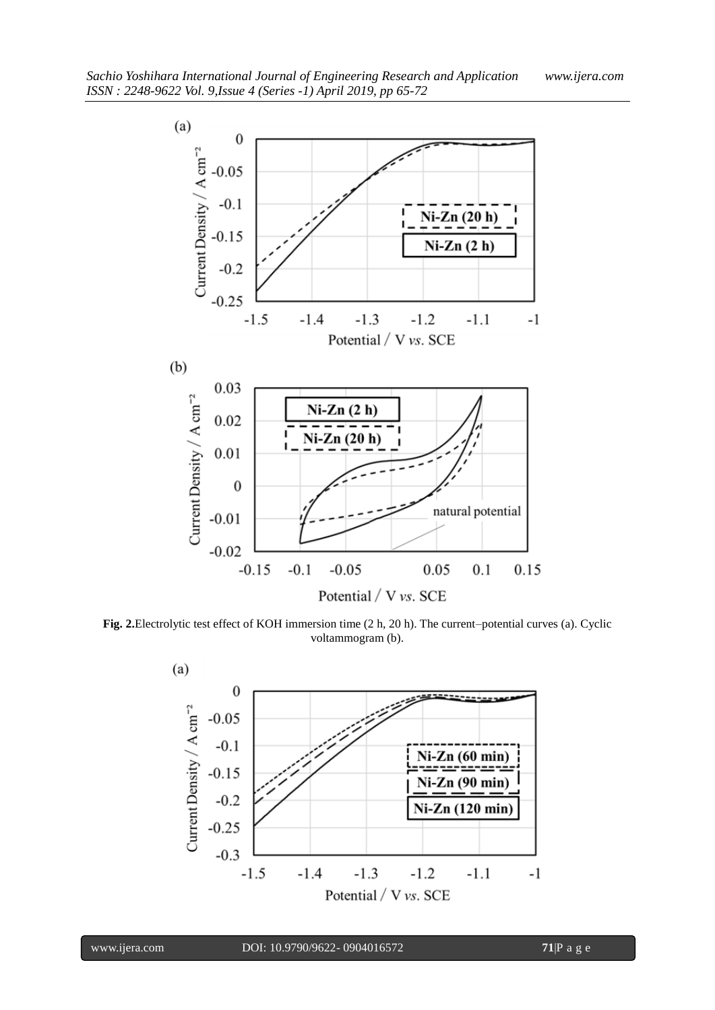

**Fig. 2.**Electrolytic test effect of KOH immersion time (2 h, 20 h). The current–potential curves (a). Cyclic voltammogram (b).